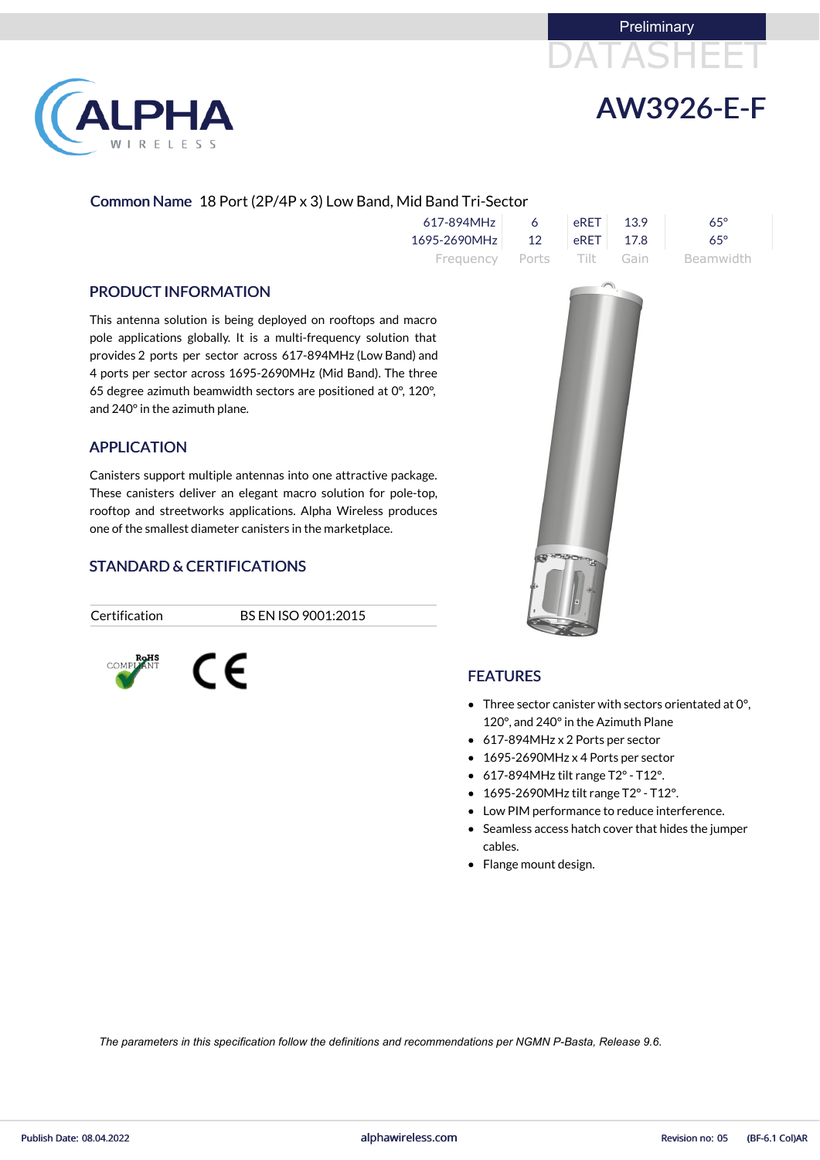



## Common Name 18 Port (2P/4P x 3) Low Band, Mid Band Tri-Sector

| 617-894MHz                | 6  |                                             | eRET 13.9 | 65°        |
|---------------------------|----|---------------------------------------------|-----------|------------|
| 1695-2690MHz              | 12 | $\left  \right.$ eRET $\left  \right.$ 17.8 |           | $65^\circ$ |
| Frequency Ports Tilt Gain |    |                                             |           | Beamwidth  |

#### PRODUCT INFORMATION

This antenna solution is being deployed on rooftops and macro pole applications globally. It is a multi-frequency solution that provides 2 ports per sector across 617-894MHz (Low Band) and 4 ports per sector across 1695-2690MHz (Mid Band). The three 65 degree azimuth beamwidth sectors are positioned at 0°, 120°, and 240°in the azimuth plane.

### APPLICATION

Canisters support multiple antennas into one attractive package. These canisters deliver an elegant macro solution for pole-top, rooftop and streetworks applications. Alpha Wireless produces one of the smallest diameter canisters in the marketplace.

## STANDARD & CERTIFICATIONS

Certification BS EN ISO 9001:2015





- Three sector canister with sectors orientated at 0°, 120°, and 240°in the Azimuth Plane
- 617-894MHz x 2 Ports per sector
- 1695-2690MHz x 4 Ports per sector
- 617-894MHz tilt range T2°- T12°.
- 1695-2690MHz tilt range T2° T12°.
- Low PIM performance to reduce interference.
- Seamless access hatch cover that hides the jumper cables.
- Flange mount design.



*The parameters in this specification follow the definitions and recommendations per NGMN P-Basta, Release 9.6.*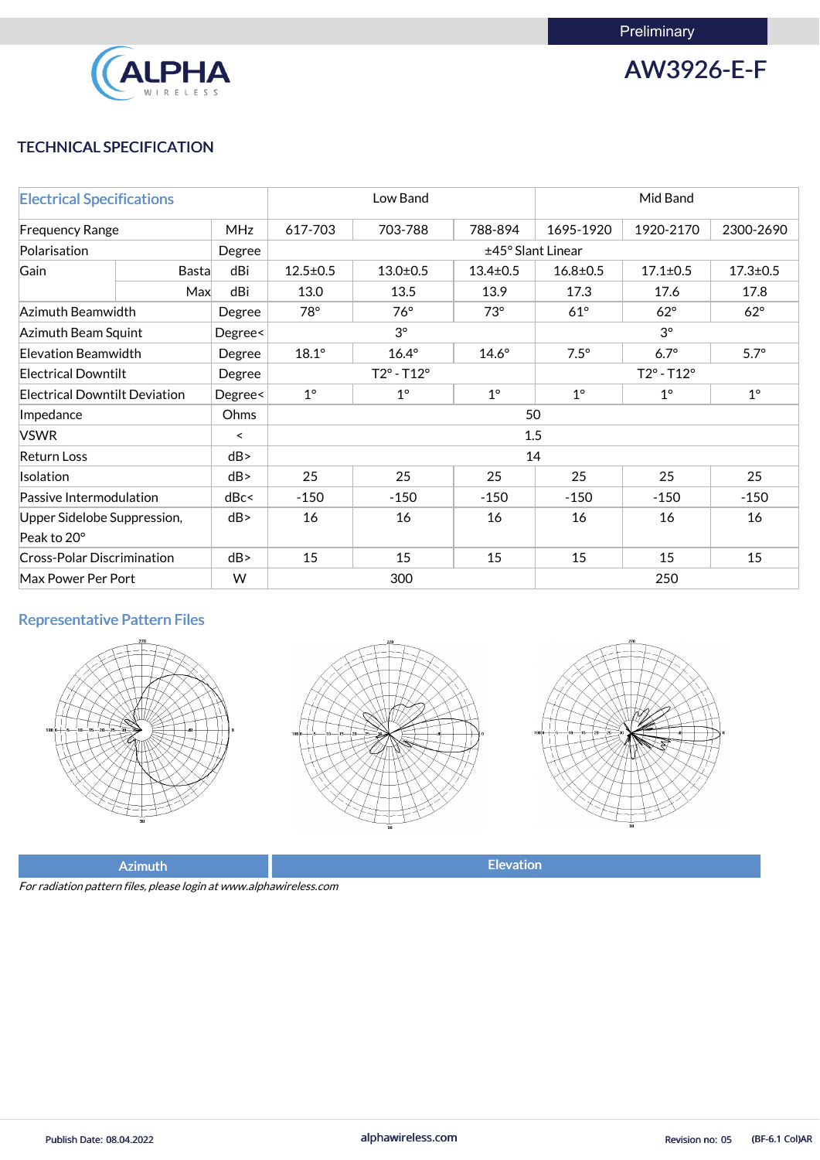

AW3926-E-F

## TECHNICAL SPECIFICATION

| <b>Electrical Specifications</b>     |              |         | Low Band                              |                              |                | Mid Band                   |                |                |  |
|--------------------------------------|--------------|---------|---------------------------------------|------------------------------|----------------|----------------------------|----------------|----------------|--|
| <b>MHz</b><br><b>Frequency Range</b> |              |         | 617-703                               | 703-788                      | 788-894        | 1695-1920                  | 1920-2170      | 2300-2690      |  |
| Polarisation                         |              | Degree  | ±45° Slant Linear                     |                              |                |                            |                |                |  |
| Gain                                 | <b>Basta</b> | dBi     | $12.5 \pm 0.5$                        | $13.0 + 0.5$                 | $13.4 \pm 0.5$ | $16.8 \pm 0.5$             | $17.1 \pm 0.5$ | $17.3 \pm 0.5$ |  |
|                                      | Max          | dBi     | 13.0                                  | 13.5                         | 13.9           | 17.3                       | 17.6           | 17.8           |  |
| Azimuth Beamwidth                    |              | Degree  | 78°                                   | $76^\circ$                   | $73^\circ$     | $61^\circ$                 | $62^\circ$     | $62^\circ$     |  |
| <b>Azimuth Beam Squint</b>           |              | Degree< |                                       | $3^{\circ}$                  |                |                            | $3^\circ$      |                |  |
| <b>Elevation Beamwidth</b>           |              | Degree  | $18.1^\circ$                          | $16.4^\circ$<br>$14.6^\circ$ |                | $7.5^\circ$                | $6.7^\circ$    | $5.7^\circ$    |  |
| <b>Electrical Downtilt</b>           |              | Degree  | $T2^{\circ} - T12^{\circ}$            |                              |                | $T2^{\circ} - T12^{\circ}$ |                |                |  |
| <b>Electrical Downtilt Deviation</b> |              | Degree< | $1^{\circ}$<br>$1^\circ$<br>$1^\circ$ |                              |                | $1^{\circ}$                | $1^{\circ}$    | $1^{\circ}$    |  |
| Impedance                            |              | Ohms    |                                       |                              |                | 50                         |                |                |  |
| <b>VSWR</b>                          |              | $\prec$ | 1.5                                   |                              |                |                            |                |                |  |
| <b>Return Loss</b>                   |              | dB      | 14                                    |                              |                |                            |                |                |  |
| Isolation                            |              | dB      | 25<br>25<br>25<br>25                  |                              |                |                            | 25             | 25             |  |
| Passive Intermodulation              |              | dBc<    | $-150$                                | $-150$                       | $-150$         | $-150$                     | $-150$         | $-150$         |  |
| Upper Sidelobe Suppression,          |              | dB      | 16                                    | 16                           | 16             | 16                         | 16             | 16             |  |
| Peak to 20°                          |              |         |                                       |                              |                |                            |                |                |  |
| <b>Cross-Polar Discrimination</b>    |              | dB      | 15                                    | 15                           | 15             | 15                         | 15             | 15             |  |
| Max Power Per Port                   |              | W       | 300<br>250                            |                              |                |                            |                |                |  |

## Representative Pattern Files







Azimuth **Elevation** 

For radiation pattern files, please login at www.alphawireless.com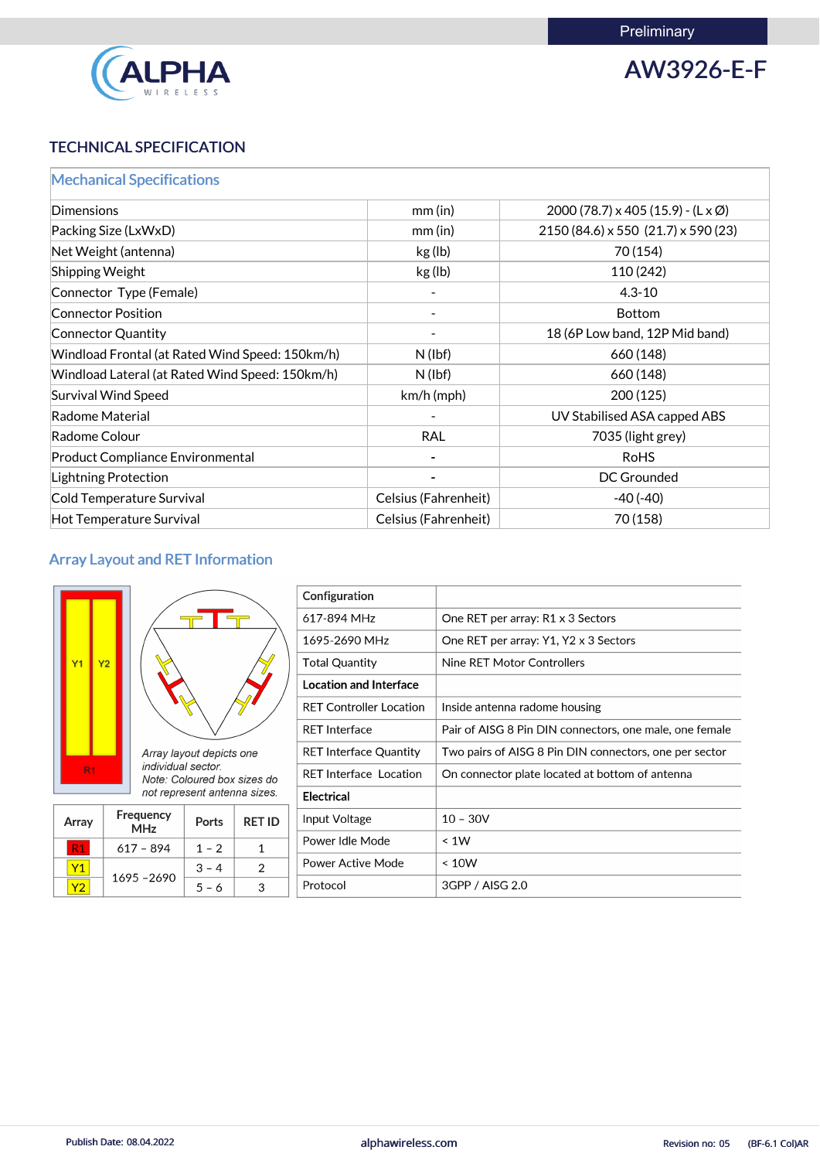

AW3926-E-F

# TECHNICAL SPECIFICATION

|  |  |  |  | <b>Mechanical Specifications</b> |  |
|--|--|--|--|----------------------------------|--|
|  |  |  |  |                                  |  |

| Dimensions                                      | $mm$ (in)            | $2000(78.7) \times 405(15.9) - (L \times \emptyset)$ |
|-------------------------------------------------|----------------------|------------------------------------------------------|
| Packing Size (LxWxD)                            | mm(in)               | 2150 (84.6) x 550 (21.7) x 590 (23)                  |
| Net Weight (antenna)                            | kg (lb)              | 70 (154)                                             |
| Shipping Weight                                 | kg (lb)              | 110 (242)                                            |
| Connector Type (Female)                         |                      | $4.3 - 10$                                           |
| <b>Connector Position</b>                       |                      | Bottom                                               |
| Connector Quantity                              |                      | 18 (6P Low band, 12P Mid band)                       |
| Windload Frontal (at Rated Wind Speed: 150km/h) | $N$ (lbf)            | 660 (148)                                            |
| Windload Lateral (at Rated Wind Speed: 150km/h) | $N$ (lbf)            | 660 (148)                                            |
| <b>Survival Wind Speed</b>                      | $km/h$ (mph)         | 200(125)                                             |
| Radome Material                                 |                      | UV Stabilised ASA capped ABS                         |
| Radome Colour                                   | <b>RAL</b>           | 7035 (light grey)                                    |
| <b>Product Compliance Environmental</b>         |                      | <b>RoHS</b>                                          |
| Lightning Protection                            |                      | <b>DC Grounded</b>                                   |
| Cold Temperature Survival                       | Celsius (Fahrenheit) | $-40(-40)$                                           |
| Hot Temperature Survival                        | Celsius (Fahrenheit) | 70 (158)                                             |

## Array Layout and RET Information





|                              | $\sim$ $\sim$ $\sim$ $\sim$ $\sim$ $\sim$ |  |  |  |  |  |
|------------------------------|-------------------------------------------|--|--|--|--|--|
| not represent antenna sizes. |                                           |  |  |  |  |  |
|                              | Note: Coloured box sizes do               |  |  |  |  |  |
|                              | <i><u><b>Individual sector.</b></u></i>   |  |  |  |  |  |
|                              |                                           |  |  |  |  |  |

| Array | <b>Frequency</b><br><b>MHz</b> | <b>Ports</b> | <b>RET ID</b> |
|-------|--------------------------------|--------------|---------------|
|       | 617 - 894                      | $1 - 2$      |               |
|       | 470E<br>$\sim$ 00              | 3            |               |

| Configuration                  |                                                         |
|--------------------------------|---------------------------------------------------------|
| 617-894 MHz                    | One RET per array: R1 x 3 Sectors                       |
| 1695-2690 MHz                  | One RET per array: Y1, Y2 x 3 Sectors                   |
| <b>Total Quantity</b>          | Nine RET Motor Controllers                              |
| <b>Location and Interface</b>  |                                                         |
| <b>RET Controller Location</b> | Inside antenna radome housing                           |
| <b>RET Interface</b>           | Pair of AISG 8 Pin DIN connectors, one male, one female |
| <b>RET Interface Quantity</b>  | Two pairs of AISG 8 Pin DIN connectors, one per sector  |
| <b>RET Interface Location</b>  | On connector plate located at bottom of antenna         |
| <b>Electrical</b>              |                                                         |
| Input Voltage                  | $10 - 30V$                                              |
| Power Idle Mode                | < 1W                                                    |
| <b>Power Active Mode</b>       | < 10W                                                   |

| $\mathbf{u} \cdot \mathbf{u}$<br>nrr<br>vo<br>``<br>$\sim$<br>. . |
|-------------------------------------------------------------------|
|-------------------------------------------------------------------|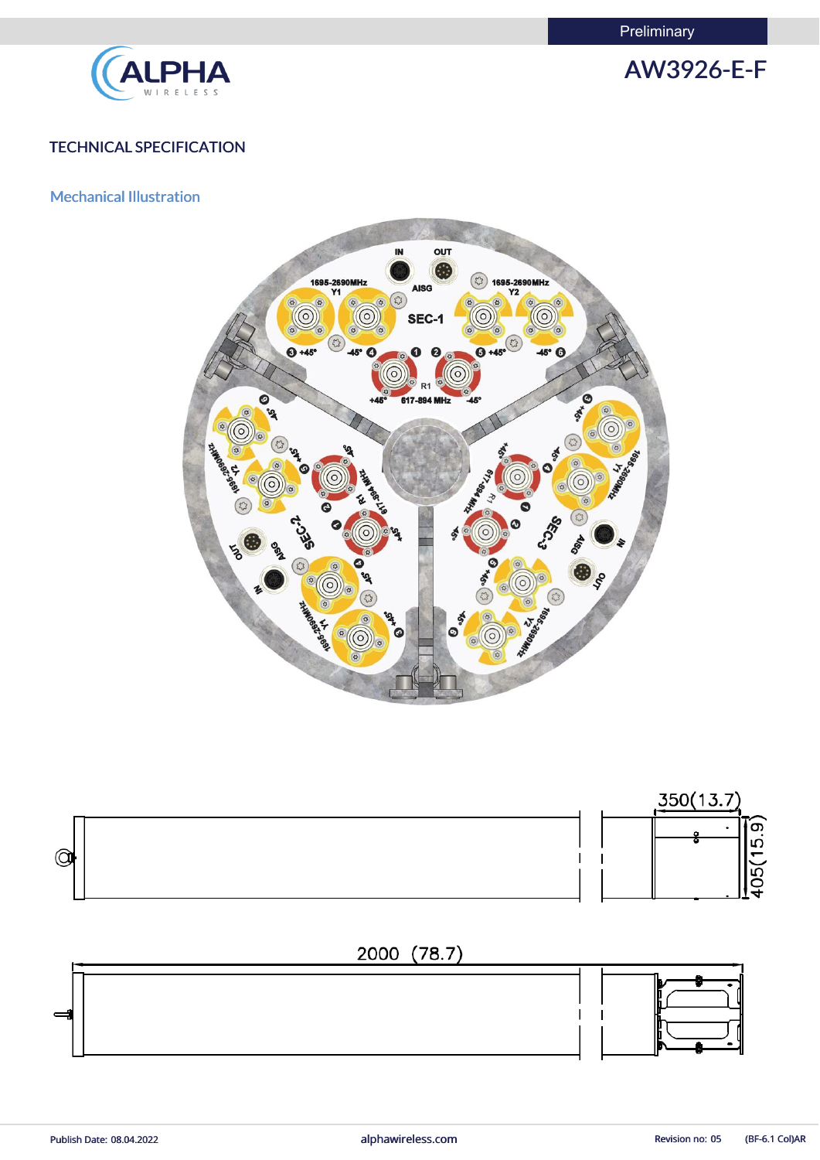**Preliminary** 





## TECHNICAL SPECIFICATION

## Mechanical Illustration





Publish Date: 08.04.2022 **alphawireless.com** alphawireless.com Revision no: 05 (BF-6.1 Col)AR